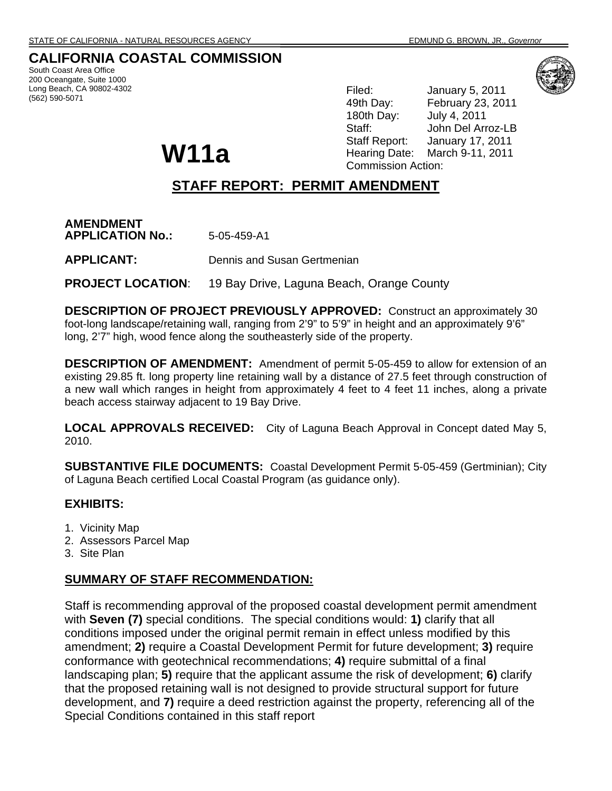# **CALIFORNIA COASTAL COMMISSION**

South Coast Area Office 200 Oceangate, Suite 1000 Long Beach, CA 90802-4302 (562) 590-5071



Filed: January 5, 2011 49th Day: February 23, 2011 180th Day: July 4, 2011 Staff: John Del Arroz-LB Staff Report: January 17, 2011 Hearing Date: March 9-11, 2011 Commission Action:

# **STAFF REPORT: PERMIT AMENDMENT**

**AMENDMENT APPLICATION No.:** 5-05-459-A1

**APPLICANT:** Dennis and Susan Gertmenian

**W11a** 

**PROJECT LOCATION**: 19 Bay Drive, Laguna Beach, Orange County

**DESCRIPTION OF PROJECT PREVIOUSLY APPROVED:** Construct an approximately 30 foot-long landscape/retaining wall, ranging from 2'9" to 5'9" in height and an approximately 9'6" long, 2'7" high, wood fence along the southeasterly side of the property.

**DESCRIPTION OF AMENDMENT:** Amendment of permit 5-05-459 to allow for extension of an existing 29.85 ft. long property line retaining wall by a distance of 27.5 feet through construction of a new wall which ranges in height from approximately 4 feet to 4 feet 11 inches, along a private beach access stairway adjacent to 19 Bay Drive.

**LOCAL APPROVALS RECEIVED:** City of Laguna Beach Approval in Concept dated May 5, 2010.

**SUBSTANTIVE FILE DOCUMENTS:** Coastal Development Permit 5-05-459 (Gertminian); City of Laguna Beach certified Local Coastal Program (as guidance only).

# **EXHIBITS:**

- 1. Vicinity Map
- 2. Assessors Parcel Map
- 3. Site Plan

## **SUMMARY OF STAFF RECOMMENDATION:**

Staff is recommending approval of the proposed coastal development permit amendment with **Seven (7)** special conditions. The special conditions would: **1)** clarify that all conditions imposed under the original permit remain in effect unless modified by this amendment; **2)** require a Coastal Development Permit for future development; **3)** require conformance with geotechnical recommendations; **4)** require submittal of a final landscaping plan; **5)** require that the applicant assume the risk of development; **6)** clarify that the proposed retaining wall is not designed to provide structural support for future development, and **7)** require a deed restriction against the property, referencing all of the Special Conditions contained in this staff report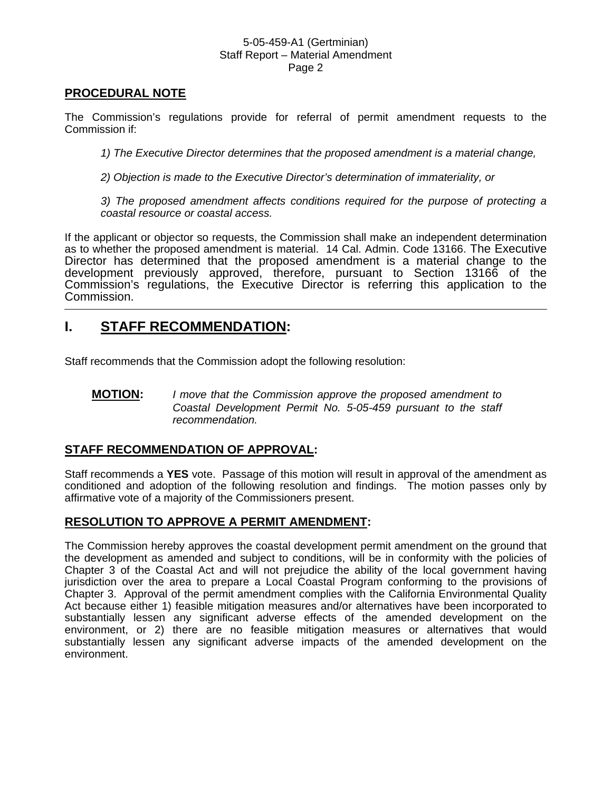## **PROCEDURAL NOTE**

The Commission's regulations provide for referral of permit amendment requests to the Commission if:

*1) The Executive Director determines that the proposed amendment is a material change,* 

*2) Objection is made to the Executive Director's determination of immateriality, or* 

*3) The proposed amendment affects conditions required for the purpose of protecting a coastal resource or coastal access.* 

If the applicant or objector so requests, the Commission shall make an independent determination as to whether the proposed amendment is material. 14 Cal. Admin. Code 13166. The Executive Director has determined that the proposed amendment is a material change to the development previously approved, therefore, pursuant to Section 13166 of the Commission's regulations, the Executive Director is referring this application to the Commission.

# **I. STAFF RECOMMENDATION:**

Staff recommends that the Commission adopt the following resolution:

**MOTION:** *I move that the Commission approve the proposed amendment to Coastal Development Permit No. 5-05-459 pursuant to the staff recommendation.* 

# **STAFF RECOMMENDATION OF APPROVAL:**

Staff recommends a **YES** vote. Passage of this motion will result in approval of the amendment as conditioned and adoption of the following resolution and findings. The motion passes only by affirmative vote of a majority of the Commissioners present.

## **RESOLUTION TO APPROVE A PERMIT AMENDMENT:**

The Commission hereby approves the coastal development permit amendment on the ground that the development as amended and subject to conditions, will be in conformity with the policies of Chapter 3 of the Coastal Act and will not prejudice the ability of the local government having jurisdiction over the area to prepare a Local Coastal Program conforming to the provisions of Chapter 3. Approval of the permit amendment complies with the California Environmental Quality Act because either 1) feasible mitigation measures and/or alternatives have been incorporated to substantially lessen any significant adverse effects of the amended development on the environment, or 2) there are no feasible mitigation measures or alternatives that would substantially lessen any significant adverse impacts of the amended development on the environment.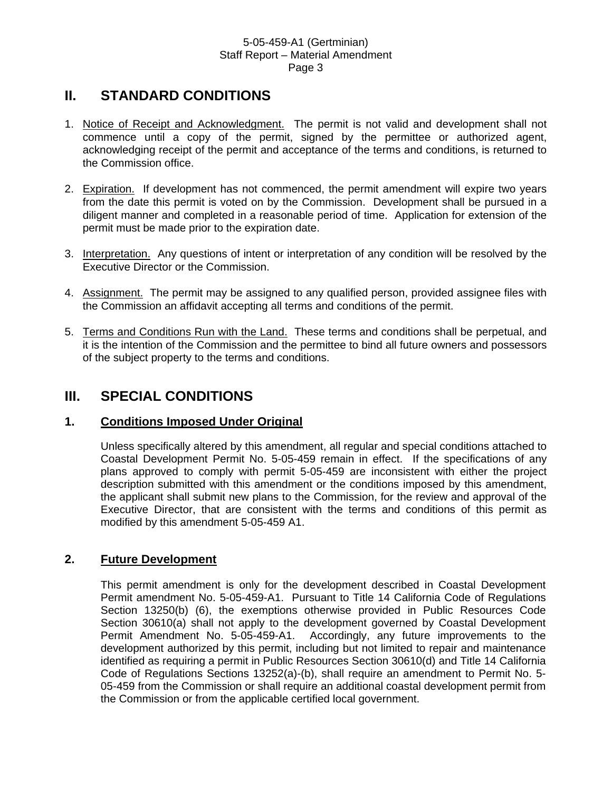# **II. STANDARD CONDITIONS**

- 1. Notice of Receipt and Acknowledgment. The permit is not valid and development shall not commence until a copy of the permit, signed by the permittee or authorized agent, acknowledging receipt of the permit and acceptance of the terms and conditions, is returned to the Commission office.
- 2. Expiration. If development has not commenced, the permit amendment will expire two years from the date this permit is voted on by the Commission. Development shall be pursued in a diligent manner and completed in a reasonable period of time. Application for extension of the permit must be made prior to the expiration date.
- 3. Interpretation. Any questions of intent or interpretation of any condition will be resolved by the Executive Director or the Commission.
- 4. Assignment. The permit may be assigned to any qualified person, provided assignee files with the Commission an affidavit accepting all terms and conditions of the permit.
- 5. Terms and Conditions Run with the Land. These terms and conditions shall be perpetual, and it is the intention of the Commission and the permittee to bind all future owners and possessors of the subject property to the terms and conditions.

# **III. SPECIAL CONDITIONS**

# **1. Conditions Imposed Under Original**

Unless specifically altered by this amendment, all regular and special conditions attached to Coastal Development Permit No. 5-05-459 remain in effect. If the specifications of any plans approved to comply with permit 5-05-459 are inconsistent with either the project description submitted with this amendment or the conditions imposed by this amendment, the applicant shall submit new plans to the Commission, for the review and approval of the Executive Director, that are consistent with the terms and conditions of this permit as modified by this amendment 5-05-459 A1.

# **2. Future Development**

This permit amendment is only for the development described in Coastal Development Permit amendment No. 5-05-459-A1. Pursuant to Title 14 California Code of Regulations Section 13250(b) (6), the exemptions otherwise provided in Public Resources Code Section 30610(a) shall not apply to the development governed by Coastal Development Permit Amendment No. 5-05-459-A1. Accordingly, any future improvements to the development authorized by this permit, including but not limited to repair and maintenance identified as requiring a permit in Public Resources Section 30610(d) and Title 14 California Code of Regulations Sections 13252(a)-(b), shall require an amendment to Permit No. 5- 05-459 from the Commission or shall require an additional coastal development permit from the Commission or from the applicable certified local government.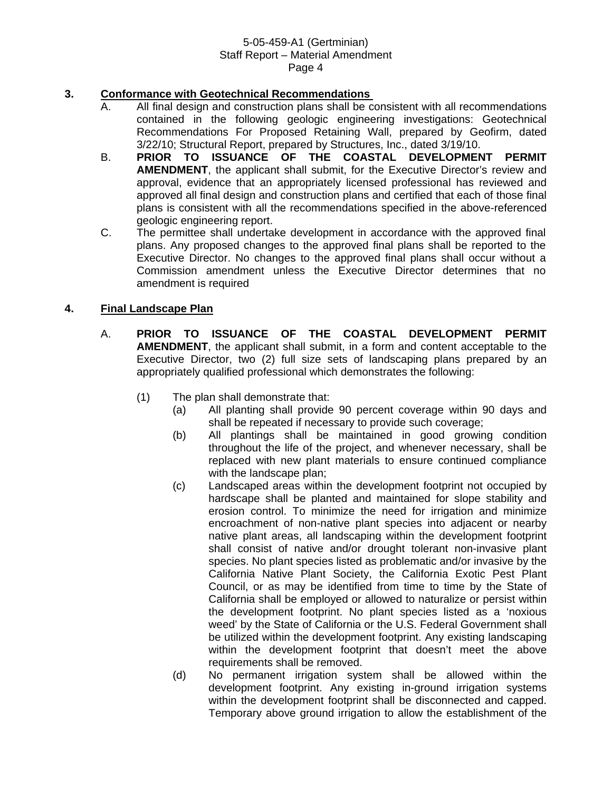## **3. Conformance with Geotechnical Recommendations**

- A. All final design and construction plans shall be consistent with all recommendations contained in the following geologic engineering investigations: Geotechnical Recommendations For Proposed Retaining Wall, prepared by Geofirm, dated 3/22/10; Structural Report, prepared by Structures, Inc., dated 3/19/10.
- B. **PRIOR TO ISSUANCE OF THE COASTAL DEVELOPMENT PERMIT AMENDMENT**, the applicant shall submit, for the Executive Director's review and approval, evidence that an appropriately licensed professional has reviewed and approved all final design and construction plans and certified that each of those final plans is consistent with all the recommendations specified in the above-referenced geologic engineering report.
- C. The permittee shall undertake development in accordance with the approved final plans. Any proposed changes to the approved final plans shall be reported to the Executive Director. No changes to the approved final plans shall occur without a Commission amendment unless the Executive Director determines that no amendment is required

## **4. Final Landscape Plan**

- A. **PRIOR TO ISSUANCE OF THE COASTAL DEVELOPMENT PERMIT AMENDMENT**, the applicant shall submit, in a form and content acceptable to the Executive Director, two (2) full size sets of landscaping plans prepared by an appropriately qualified professional which demonstrates the following:
	- (1) The plan shall demonstrate that:
		- (a) All planting shall provide 90 percent coverage within 90 days and shall be repeated if necessary to provide such coverage;
		- (b) All plantings shall be maintained in good growing condition throughout the life of the project, and whenever necessary, shall be replaced with new plant materials to ensure continued compliance with the landscape plan;
		- (c) Landscaped areas within the development footprint not occupied by hardscape shall be planted and maintained for slope stability and erosion control. To minimize the need for irrigation and minimize encroachment of non-native plant species into adjacent or nearby native plant areas, all landscaping within the development footprint shall consist of native and/or drought tolerant non-invasive plant species. No plant species listed as problematic and/or invasive by the California Native Plant Society, the California Exotic Pest Plant Council, or as may be identified from time to time by the State of California shall be employed or allowed to naturalize or persist within the development footprint. No plant species listed as a 'noxious weed' by the State of California or the U.S. Federal Government shall be utilized within the development footprint. Any existing landscaping within the development footprint that doesn't meet the above requirements shall be removed.
		- (d) No permanent irrigation system shall be allowed within the development footprint. Any existing in-ground irrigation systems within the development footprint shall be disconnected and capped. Temporary above ground irrigation to allow the establishment of the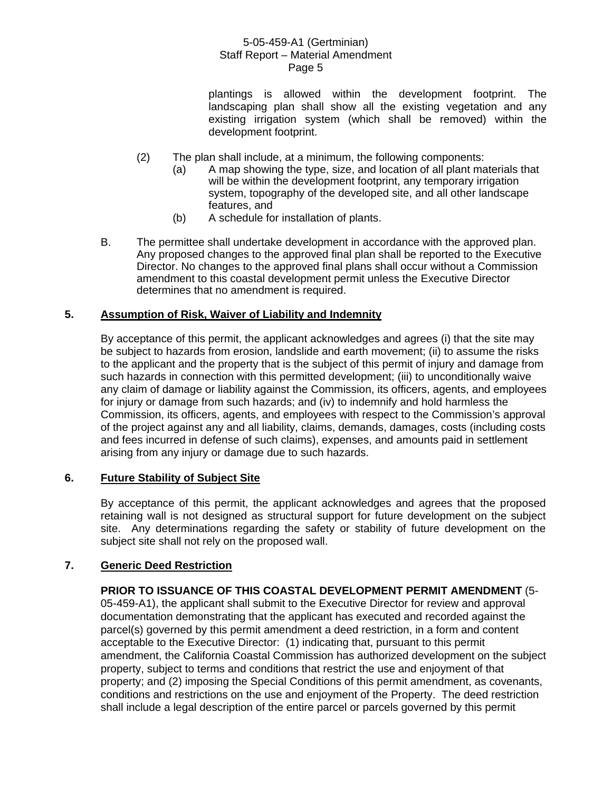plantings is allowed within the development footprint. The landscaping plan shall show all the existing vegetation and any existing irrigation system (which shall be removed) within the development footprint.

- (2) The plan shall include, at a minimum, the following components:
	- (a) A map showing the type, size, and location of all plant materials that will be within the development footprint, any temporary irrigation system, topography of the developed site, and all other landscape features, and
	- (b) A schedule for installation of plants.
- B. The permittee shall undertake development in accordance with the approved plan. Any proposed changes to the approved final plan shall be reported to the Executive Director. No changes to the approved final plans shall occur without a Commission amendment to this coastal development permit unless the Executive Director determines that no amendment is required.

## **5. Assumption of Risk, Waiver of Liability and Indemnity**

By acceptance of this permit, the applicant acknowledges and agrees (i) that the site may be subject to hazards from erosion, landslide and earth movement; (ii) to assume the risks to the applicant and the property that is the subject of this permit of injury and damage from such hazards in connection with this permitted development; (iii) to unconditionally waive any claim of damage or liability against the Commission, its officers, agents, and employees for injury or damage from such hazards; and (iv) to indemnify and hold harmless the Commission, its officers, agents, and employees with respect to the Commission's approval of the project against any and all liability, claims, demands, damages, costs (including costs and fees incurred in defense of such claims), expenses, and amounts paid in settlement arising from any injury or damage due to such hazards.

## **6. Future Stability of Subject Site**

By acceptance of this permit, the applicant acknowledges and agrees that the proposed retaining wall is not designed as structural support for future development on the subject site. Any determinations regarding the safety or stability of future development on the subject site shall not rely on the proposed wall.

## **7. Generic Deed Restriction**

**PRIOR TO ISSUANCE OF THIS COASTAL DEVELOPMENT PERMIT AMENDMENT** (5- 05-459-A1), the applicant shall submit to the Executive Director for review and approval documentation demonstrating that the applicant has executed and recorded against the parcel(s) governed by this permit amendment a deed restriction, in a form and content acceptable to the Executive Director: (1) indicating that, pursuant to this permit amendment, the California Coastal Commission has authorized development on the subject property, subject to terms and conditions that restrict the use and enjoyment of that property; and (2) imposing the Special Conditions of this permit amendment, as covenants, conditions and restrictions on the use and enjoyment of the Property. The deed restriction shall include a legal description of the entire parcel or parcels governed by this permit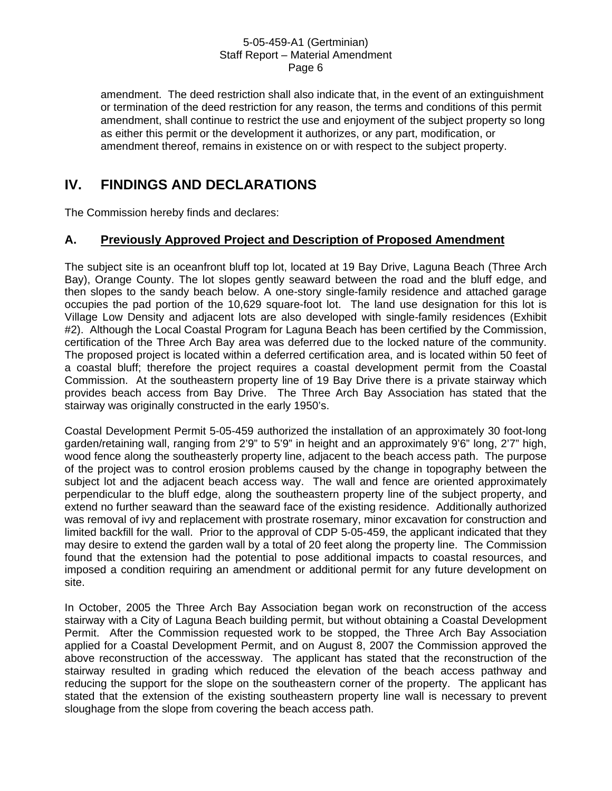amendment. The deed restriction shall also indicate that, in the event of an extinguishment or termination of the deed restriction for any reason, the terms and conditions of this permit amendment, shall continue to restrict the use and enjoyment of the subject property so long as either this permit or the development it authorizes, or any part, modification, or amendment thereof, remains in existence on or with respect to the subject property.

# **IV. FINDINGS AND DECLARATIONS**

The Commission hereby finds and declares:

# **A. Previously Approved Project and Description of Proposed Amendment**

The subject site is an oceanfront bluff top lot, located at 19 Bay Drive, Laguna Beach (Three Arch Bay), Orange County. The lot slopes gently seaward between the road and the bluff edge, and then slopes to the sandy beach below. A one-story single-family residence and attached garage occupies the pad portion of the 10,629 square-foot lot. The land use designation for this lot is Village Low Density and adjacent lots are also developed with single-family residences (Exhibit #2). Although the Local Coastal Program for Laguna Beach has been certified by the Commission, certification of the Three Arch Bay area was deferred due to the locked nature of the community. The proposed project is located within a deferred certification area, and is located within 50 feet of a coastal bluff; therefore the project requires a coastal development permit from the Coastal Commission. At the southeastern property line of 19 Bay Drive there is a private stairway which provides beach access from Bay Drive. The Three Arch Bay Association has stated that the stairway was originally constructed in the early 1950's.

Coastal Development Permit 5-05-459 authorized the installation of an approximately 30 foot-long garden/retaining wall, ranging from 2'9" to 5'9" in height and an approximately 9'6" long, 2'7" high, wood fence along the southeasterly property line, adjacent to the beach access path. The purpose of the project was to control erosion problems caused by the change in topography between the subject lot and the adjacent beach access way. The wall and fence are oriented approximately perpendicular to the bluff edge, along the southeastern property line of the subject property, and extend no further seaward than the seaward face of the existing residence. Additionally authorized was removal of ivy and replacement with prostrate rosemary, minor excavation for construction and limited backfill for the wall. Prior to the approval of CDP 5-05-459, the applicant indicated that they may desire to extend the garden wall by a total of 20 feet along the property line. The Commission found that the extension had the potential to pose additional impacts to coastal resources, and imposed a condition requiring an amendment or additional permit for any future development on site.

In October, 2005 the Three Arch Bay Association began work on reconstruction of the access stairway with a City of Laguna Beach building permit, but without obtaining a Coastal Development Permit. After the Commission requested work to be stopped, the Three Arch Bay Association applied for a Coastal Development Permit, and on August 8, 2007 the Commission approved the above reconstruction of the accessway. The applicant has stated that the reconstruction of the stairway resulted in grading which reduced the elevation of the beach access pathway and reducing the support for the slope on the southeastern corner of the property. The applicant has stated that the extension of the existing southeastern property line wall is necessary to prevent sloughage from the slope from covering the beach access path.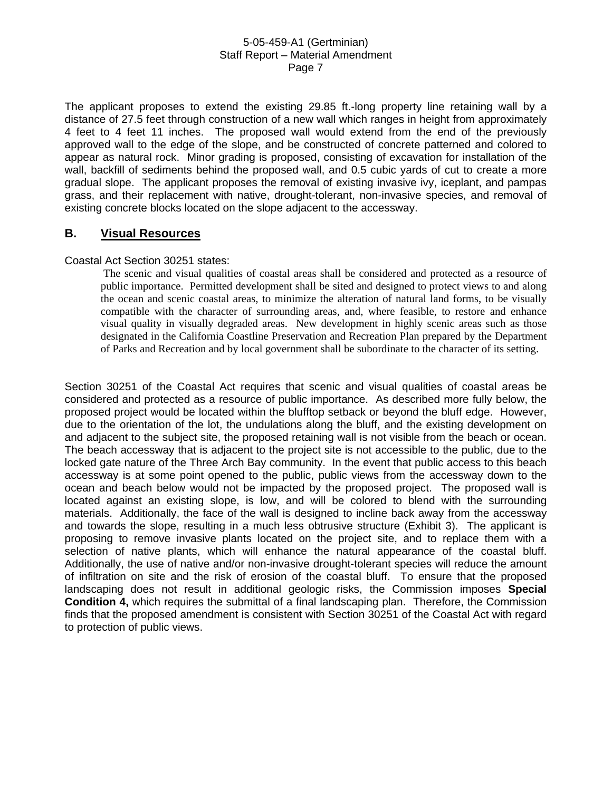The applicant proposes to extend the existing 29.85 ft.-long property line retaining wall by a distance of 27.5 feet through construction of a new wall which ranges in height from approximately 4 feet to 4 feet 11 inches. The proposed wall would extend from the end of the previously approved wall to the edge of the slope, and be constructed of concrete patterned and colored to appear as natural rock. Minor grading is proposed, consisting of excavation for installation of the wall, backfill of sediments behind the proposed wall, and 0.5 cubic yards of cut to create a more gradual slope. The applicant proposes the removal of existing invasive ivy, iceplant, and pampas grass, and their replacement with native, drought-tolerant, non-invasive species, and removal of existing concrete blocks located on the slope adjacent to the accessway.

## **B. Visual Resources**

### Coastal Act Section 30251 states:

 The scenic and visual qualities of coastal areas shall be considered and protected as a resource of public importance. Permitted development shall be sited and designed to protect views to and along the ocean and scenic coastal areas, to minimize the alteration of natural land forms, to be visually compatible with the character of surrounding areas, and, where feasible, to restore and enhance visual quality in visually degraded areas. New development in highly scenic areas such as those designated in the California Coastline Preservation and Recreation Plan prepared by the Department of Parks and Recreation and by local government shall be subordinate to the character of its setting.

Section 30251 of the Coastal Act requires that scenic and visual qualities of coastal areas be considered and protected as a resource of public importance. As described more fully below, the proposed project would be located within the blufftop setback or beyond the bluff edge. However, due to the orientation of the lot, the undulations along the bluff, and the existing development on and adjacent to the subject site, the proposed retaining wall is not visible from the beach or ocean. The beach accessway that is adjacent to the project site is not accessible to the public, due to the locked gate nature of the Three Arch Bay community. In the event that public access to this beach accessway is at some point opened to the public, public views from the accessway down to the ocean and beach below would not be impacted by the proposed project. The proposed wall is located against an existing slope, is low, and will be colored to blend with the surrounding materials. Additionally, the face of the wall is designed to incline back away from the accessway and towards the slope, resulting in a much less obtrusive structure (Exhibit 3). The applicant is proposing to remove invasive plants located on the project site, and to replace them with a selection of native plants, which will enhance the natural appearance of the coastal bluff. Additionally, the use of native and/or non-invasive drought-tolerant species will reduce the amount of infiltration on site and the risk of erosion of the coastal bluff. To ensure that the proposed landscaping does not result in additional geologic risks, the Commission imposes **Special Condition 4,** which requires the submittal of a final landscaping plan. Therefore, the Commission finds that the proposed amendment is consistent with Section 30251 of the Coastal Act with regard to protection of public views.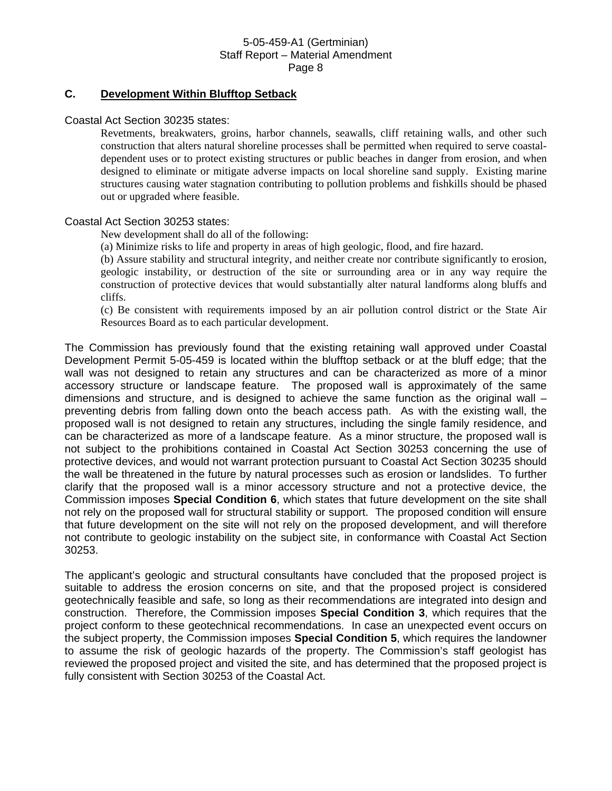### **C. Development Within Blufftop Setback**

Coastal Act Section 30235 states:

Revetments, breakwaters, groins, harbor channels, seawalls, cliff retaining walls, and other such construction that alters natural shoreline processes shall be permitted when required to serve coastaldependent uses or to protect existing structures or public beaches in danger from erosion, and when designed to eliminate or mitigate adverse impacts on local shoreline sand supply. Existing marine structures causing water stagnation contributing to pollution problems and fishkills should be phased out or upgraded where feasible.

### Coastal Act Section 30253 states:

New development shall do all of the following:

(a) Minimize risks to life and property in areas of high geologic, flood, and fire hazard.

(b) Assure stability and structural integrity, and neither create nor contribute significantly to erosion, geologic instability, or destruction of the site or surrounding area or in any way require the construction of protective devices that would substantially alter natural landforms along bluffs and cliffs.

(c) Be consistent with requirements imposed by an air pollution control district or the State Air Resources Board as to each particular development.

The Commission has previously found that the existing retaining wall approved under Coastal Development Permit 5-05-459 is located within the blufftop setback or at the bluff edge; that the wall was not designed to retain any structures and can be characterized as more of a minor accessory structure or landscape feature. The proposed wall is approximately of the same dimensions and structure, and is designed to achieve the same function as the original wall – preventing debris from falling down onto the beach access path. As with the existing wall, the proposed wall is not designed to retain any structures, including the single family residence, and can be characterized as more of a landscape feature. As a minor structure, the proposed wall is not subject to the prohibitions contained in Coastal Act Section 30253 concerning the use of protective devices, and would not warrant protection pursuant to Coastal Act Section 30235 should the wall be threatened in the future by natural processes such as erosion or landslides. To further clarify that the proposed wall is a minor accessory structure and not a protective device, the Commission imposes **Special Condition 6**, which states that future development on the site shall not rely on the proposed wall for structural stability or support. The proposed condition will ensure that future development on the site will not rely on the proposed development, and will therefore not contribute to geologic instability on the subject site, in conformance with Coastal Act Section 30253.

The applicant's geologic and structural consultants have concluded that the proposed project is suitable to address the erosion concerns on site, and that the proposed project is considered geotechnically feasible and safe, so long as their recommendations are integrated into design and construction. Therefore, the Commission imposes **Special Condition 3**, which requires that the project conform to these geotechnical recommendations. In case an unexpected event occurs on the subject property, the Commission imposes **Special Condition 5**, which requires the landowner to assume the risk of geologic hazards of the property. The Commission's staff geologist has reviewed the proposed project and visited the site, and has determined that the proposed project is fully consistent with Section 30253 of the Coastal Act.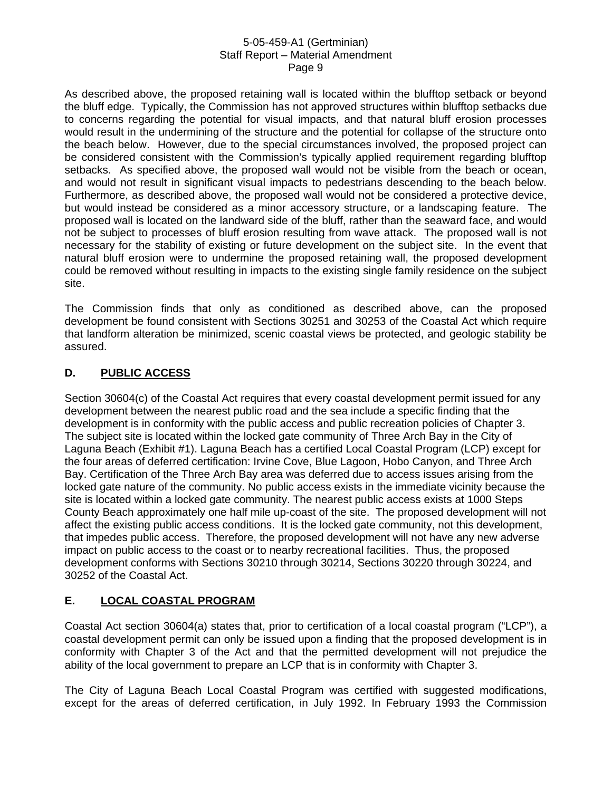As described above, the proposed retaining wall is located within the blufftop setback or beyond the bluff edge. Typically, the Commission has not approved structures within blufftop setbacks due to concerns regarding the potential for visual impacts, and that natural bluff erosion processes would result in the undermining of the structure and the potential for collapse of the structure onto the beach below. However, due to the special circumstances involved, the proposed project can be considered consistent with the Commission's typically applied requirement regarding blufftop setbacks. As specified above, the proposed wall would not be visible from the beach or ocean, and would not result in significant visual impacts to pedestrians descending to the beach below. Furthermore, as described above, the proposed wall would not be considered a protective device, but would instead be considered as a minor accessory structure, or a landscaping feature. The proposed wall is located on the landward side of the bluff, rather than the seaward face, and would not be subject to processes of bluff erosion resulting from wave attack. The proposed wall is not necessary for the stability of existing or future development on the subject site. In the event that natural bluff erosion were to undermine the proposed retaining wall, the proposed development could be removed without resulting in impacts to the existing single family residence on the subject site.

The Commission finds that only as conditioned as described above, can the proposed development be found consistent with Sections 30251 and 30253 of the Coastal Act which require that landform alteration be minimized, scenic coastal views be protected, and geologic stability be assured.

# **D. PUBLIC ACCESS**

Section 30604(c) of the Coastal Act requires that every coastal development permit issued for any development between the nearest public road and the sea include a specific finding that the development is in conformity with the public access and public recreation policies of Chapter 3. The subject site is located within the locked gate community of Three Arch Bay in the City of Laguna Beach (Exhibit #1). Laguna Beach has a certified Local Coastal Program (LCP) except for the four areas of deferred certification: Irvine Cove, Blue Lagoon, Hobo Canyon, and Three Arch Bay. Certification of the Three Arch Bay area was deferred due to access issues arising from the locked gate nature of the community. No public access exists in the immediate vicinity because the site is located within a locked gate community. The nearest public access exists at 1000 Steps County Beach approximately one half mile up-coast of the site. The proposed development will not affect the existing public access conditions. It is the locked gate community, not this development, that impedes public access. Therefore, the proposed development will not have any new adverse impact on public access to the coast or to nearby recreational facilities. Thus, the proposed development conforms with Sections 30210 through 30214, Sections 30220 through 30224, and 30252 of the Coastal Act.

# **E. LOCAL COASTAL PROGRAM**

Coastal Act section 30604(a) states that, prior to certification of a local coastal program ("LCP"), a coastal development permit can only be issued upon a finding that the proposed development is in conformity with Chapter 3 of the Act and that the permitted development will not prejudice the ability of the local government to prepare an LCP that is in conformity with Chapter 3.

The City of Laguna Beach Local Coastal Program was certified with suggested modifications, except for the areas of deferred certification, in July 1992. In February 1993 the Commission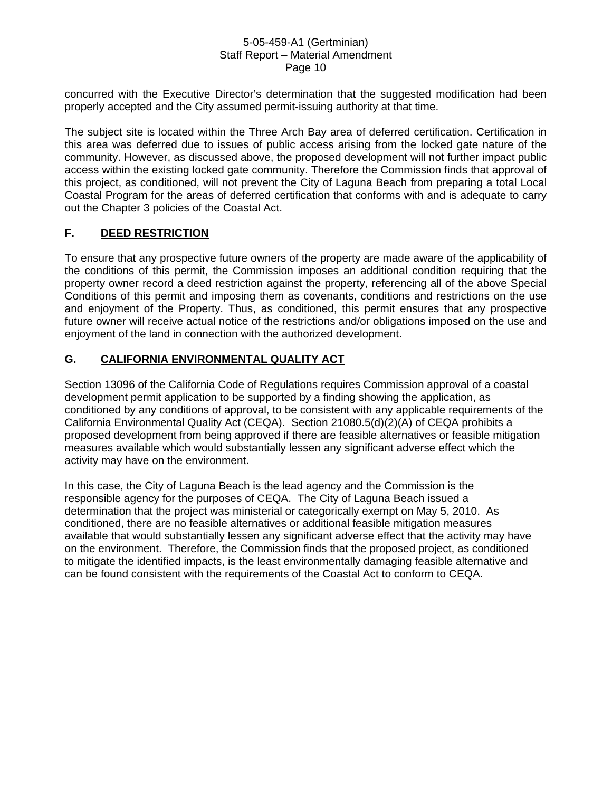concurred with the Executive Director's determination that the suggested modification had been properly accepted and the City assumed permit-issuing authority at that time.

The subject site is located within the Three Arch Bay area of deferred certification. Certification in this area was deferred due to issues of public access arising from the locked gate nature of the community. However, as discussed above, the proposed development will not further impact public access within the existing locked gate community. Therefore the Commission finds that approval of this project, as conditioned, will not prevent the City of Laguna Beach from preparing a total Local Coastal Program for the areas of deferred certification that conforms with and is adequate to carry out the Chapter 3 policies of the Coastal Act.

## **F. DEED RESTRICTION**

To ensure that any prospective future owners of the property are made aware of the applicability of the conditions of this permit, the Commission imposes an additional condition requiring that the property owner record a deed restriction against the property, referencing all of the above Special Conditions of this permit and imposing them as covenants, conditions and restrictions on the use and enjoyment of the Property. Thus, as conditioned, this permit ensures that any prospective future owner will receive actual notice of the restrictions and/or obligations imposed on the use and enjoyment of the land in connection with the authorized development.

# **G. CALIFORNIA ENVIRONMENTAL QUALITY ACT**

Section 13096 of the California Code of Regulations requires Commission approval of a coastal development permit application to be supported by a finding showing the application, as conditioned by any conditions of approval, to be consistent with any applicable requirements of the California Environmental Quality Act (CEQA). Section 21080.5(d)(2)(A) of CEQA prohibits a proposed development from being approved if there are feasible alternatives or feasible mitigation measures available which would substantially lessen any significant adverse effect which the activity may have on the environment.

In this case, the City of Laguna Beach is the lead agency and the Commission is the responsible agency for the purposes of CEQA. The City of Laguna Beach issued a determination that the project was ministerial or categorically exempt on May 5, 2010. As conditioned, there are no feasible alternatives or additional feasible mitigation measures available that would substantially lessen any significant adverse effect that the activity may have on the environment. Therefore, the Commission finds that the proposed project, as conditioned to mitigate the identified impacts, is the least environmentally damaging feasible alternative and can be found consistent with the requirements of the Coastal Act to conform to CEQA.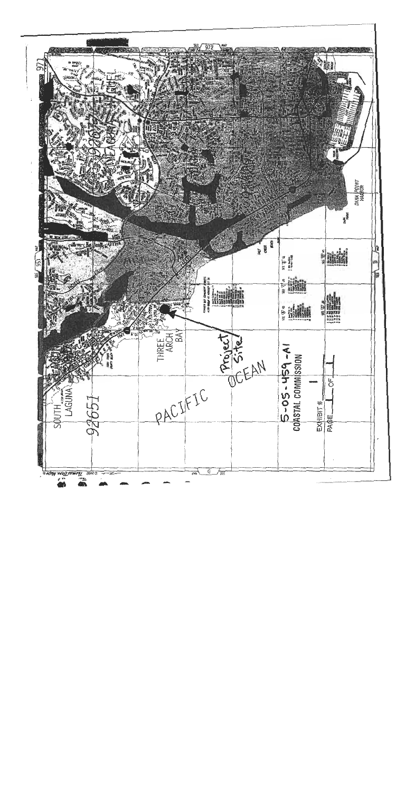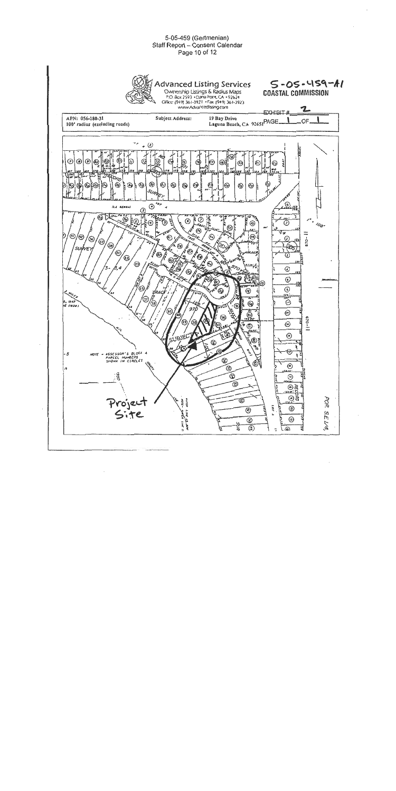#### 5-05-459 (Gertmenian) Staff Report - Consent Calendar Page 10 of 12